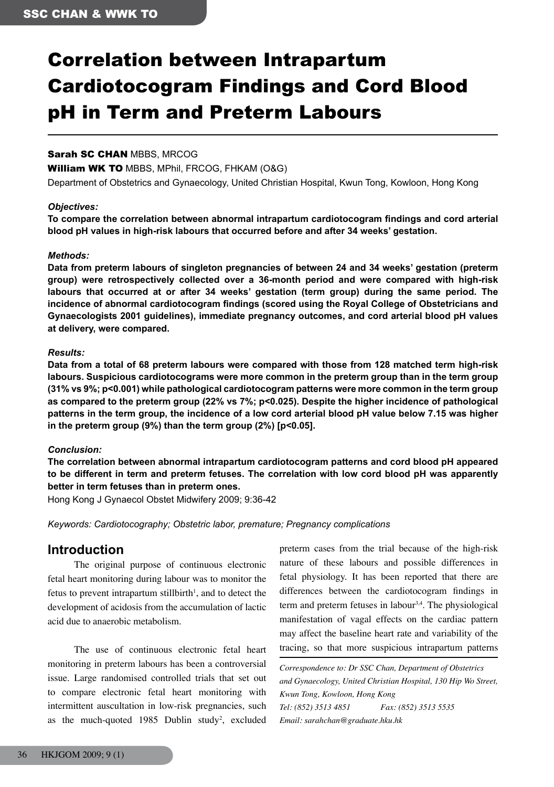# Correlation between Intrapartum Cardiotocogram Findings and Cord Blood pH in Term and Preterm Labours

## Sarah SC CHAN MBBS, MRCOG

William WK TO MBBS, MPhil, FRCOG, FHKAM (O&G)

Department of Obstetrics and Gynaecology, United Christian Hospital, Kwun Tong, Kowloon, Hong Kong

### *Objectives:*

**To compare the correlation between abnormal intrapartum cardiotocogram findings and cord arterial blood pH values in high-risk labours that occurred before and after 34 weeks' gestation.**

#### *Methods:*

**Data from preterm labours of singleton pregnancies of between 24 and 34 weeks' gestation (preterm group) were retrospectively collected over a 36-month period and were compared with high-risk labours that occurred at or after 34 weeks' gestation (term group) during the same period. The incidence of abnormal cardiotocogram findings (scored using the Royal College of Obstetricians and Gynaecologists 2001 guidelines), immediate pregnancy outcomes, and cord arterial blood pH values at delivery, were compared.**

#### *Results:*

**Data from a total of 68 preterm labours were compared with those from 128 matched term high-risk labours. Suspicious cardiotocograms were more common in the preterm group than in the term group (31% vs 9%; p<0.001) while pathological cardiotocogram patterns were more common in the term group as compared to the preterm group (22% vs 7%; p<0.025). Despite the higher incidence of pathological patterns in the term group, the incidence of a low cord arterial blood pH value below 7.15 was higher in the preterm group (9%) than the term group (2%) [p<0.05].**

### *Conclusion:*

**The correlation between abnormal intrapartum cardiotocogram patterns and cord blood pH appeared to be different in term and preterm fetuses. The correlation with low cord blood pH was apparently better in term fetuses than in preterm ones.**

Hong Kong J Gynaecol Obstet Midwifery 2009; 9:36-42

*Keywords: Cardiotocography; Obstetric labor, premature; Pregnancy complications*

## **Introduction**

The original purpose of continuous electronic fetal heart monitoring during labour was to monitor the fetus to prevent intrapartum stillbirth<sup>1</sup>, and to detect the development of acidosis from the accumulation of lactic acid due to anaerobic metabolism.

The use of continuous electronic fetal heart monitoring in preterm labours has been a controversial issue. Large randomised controlled trials that set out to compare electronic fetal heart monitoring with intermittent auscultation in low-risk pregnancies, such as the much-quoted  $1985$  Dublin study<sup>2</sup>, excluded

preterm cases from the trial because of the high-risk nature of these labours and possible differences in fetal physiology. It has been reported that there are differences between the cardiotocogram findings in term and preterm fetuses in labour<sup>3,4</sup>. The physiological manifestation of vagal effects on the cardiac pattern may affect the baseline heart rate and variability of the tracing, so that more suspicious intrapartum patterns

*Correspondence to: Dr SSC Chan, Department of Obstetrics and Gynaecology, United Christian Hospital, 130 Hip Wo Street, Kwun Tong, Kowloon, Hong Kong Tel: (852) 3513 4851 Fax: (852) 3513 5535 Email: sarahchan@graduate.hku.hk*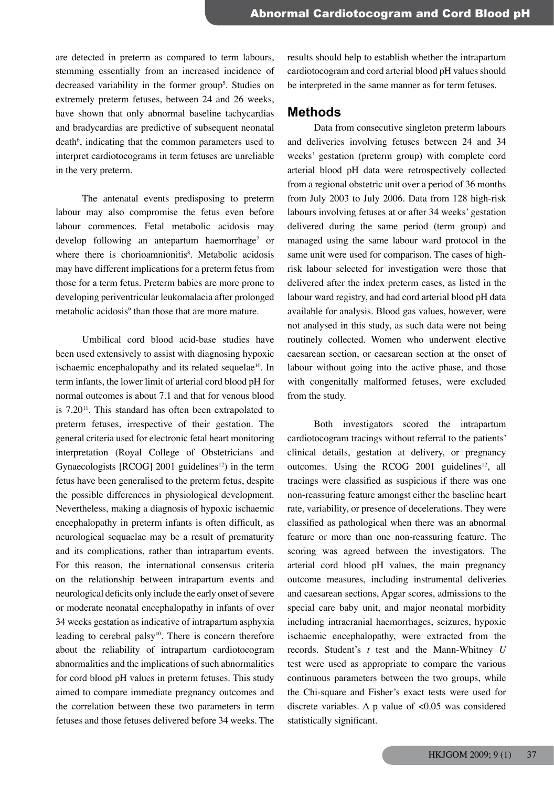are detected in preterm as compared to term labours, stemming essentially from an increased incidence of decreased variability in the former group<sup>5</sup>. Studies on extremely preterm fetuses, between 24 and 26 weeks, have shown that only abnormal baseline tachycardias and bradycardias are predictive of subsequent neonatal death<sup>6</sup>, indicating that the common parameters used to interpret cardiotocograms in term fetuses are unreliable in the very preterm.

The antenatal events predisposing to preterm labour may also compromise the fetus even before labour commences. Fetal metabolic acidosis may develop following an antepartum haemorrhage<sup>7</sup> or where there is chorioamnionitis<sup>8</sup>. Metabolic acidosis may have different implications for a preterm fetus from those for a term fetus. Preterm babies are more prone to developing periventricular leukomalacia after prolonged metabolic acidosis<sup>9</sup> than those that are more mature.

Umbilical cord blood acid-base studies have been used extensively to assist with diagnosing hypoxic ischaemic encephalopathy and its related sequelae<sup>10</sup>. In term infants, the lower limit of arterial cord blood pH for normal outcomes is about 7.1 and that for venous blood is 7.2011. This standard has often been extrapolated to preterm fetuses, irrespective of their gestation. The general criteria used for electronic fetal heart monitoring interpretation (Royal College of Obstetricians and Gynaecologists  $[RCOG]$  2001 guidelines<sup>12</sup>) in the term fetus have been generalised to the preterm fetus, despite the possible differences in physiological development. Nevertheless, making a diagnosis of hypoxic ischaemic encephalopathy in preterm infants is often difficult, as neurological sequaelae may be a result of prematurity and its complications, rather than intrapartum events. For this reason, the international consensus criteria on the relationship between intrapartum events and neurological deficits only include the early onset of severe or moderate neonatal encephalopathy in infants of over 34 weeks gestation as indicative of intrapartum asphyxia leading to cerebral palsy<sup>10</sup>. There is concern therefore about the reliability of intrapartum cardiotocogram abnormalities and the implications of such abnormalities for cord blood pH values in preterm fetuses. This study aimed to compare immediate pregnancy outcomes and the correlation between these two parameters in term fetuses and those fetuses delivered before 34 weeks. The

results should help to establish whether the intrapartum cardiotocogram and cord arterial blood pH values should be interpreted in the same manner as for term fetuses.

## **Methods**

Data from consecutive singleton preterm labours and deliveries involving fetuses between 24 and 34 weeks' gestation (preterm group) with complete cord arterial blood pH data were retrospectively collected from a regional obstetric unit over a period of 36 months from July 2003 to July 2006. Data from 128 high-risk labours involving fetuses at or after 34 weeks' gestation delivered during the same period (term group) and managed using the same labour ward protocol in the same unit were used for comparison. The cases of highrisk labour selected for investigation were those that delivered after the index preterm cases, as listed in the labour ward registry, and had cord arterial blood pH data available for analysis. Blood gas values, however, were not analysed in this study, as such data were not being routinely collected. Women who underwent elective caesarean section, or caesarean section at the onset of labour without going into the active phase, and those with congenitally malformed fetuses, were excluded from the study.

Both investigators scored the intrapartum cardiotocogram tracings without referral to the patients' clinical details, gestation at delivery, or pregnancy outcomes. Using the RCOG 2001 guidelines<sup>12</sup>, all tracings were classified as suspicious if there was one non-reassuring feature amongst either the baseline heart rate, variability, or presence of decelerations. They were classified as pathological when there was an abnormal feature or more than one non-reassuring feature. The scoring was agreed between the investigators. The arterial cord blood pH values, the main pregnancy outcome measures, including instrumental deliveries and caesarean sections, Apgar scores, admissions to the special care baby unit, and major neonatal morbidity including intracranial haemorrhages, seizures, hypoxic ischaemic encephalopathy, were extracted from the records. Student's *t* test and the Mann-Whitney *U* test were used as appropriate to compare the various continuous parameters between the two groups, while the Chi-square and Fisher's exact tests were used for discrete variables. A p value of <0.05 was considered statistically significant.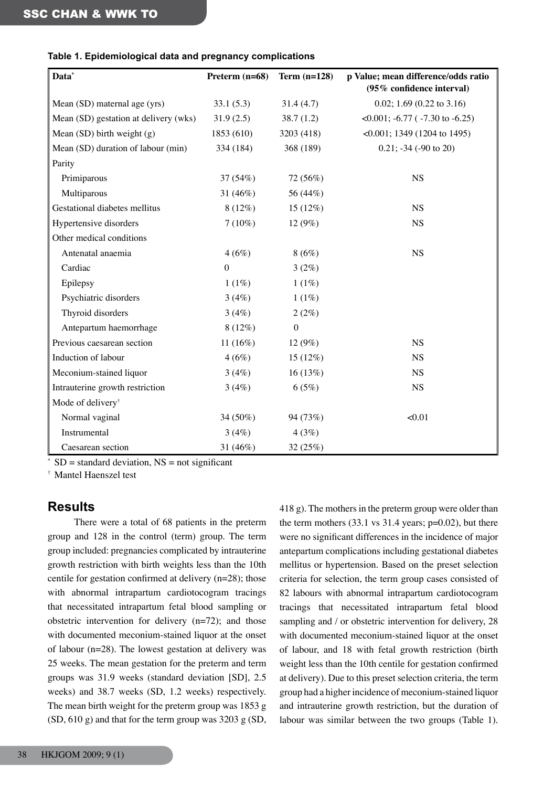| Data*                                 | Preterm (n=68)   | Term $(n=128)$   | p Value; mean difference/odds ratio   |  |
|---------------------------------------|------------------|------------------|---------------------------------------|--|
|                                       |                  |                  | (95% confidence interval)             |  |
| Mean (SD) maternal age (yrs)          | 33.1(5.3)        | 31.4(4.7)        | 0.02; 1.69 (0.22 to 3.16)             |  |
| Mean (SD) gestation at delivery (wks) | 31.9(2.5)        | 38.7(1.2)        | $\leq 0.001$ ; -6.77 (-7.30 to -6.25) |  |
| Mean $(SD)$ birth weight $(g)$        | 1853 (610)       | 3203 (418)       | $\leq 0.001$ ; 1349 (1204 to 1495)    |  |
| Mean (SD) duration of labour (min)    | 334 (184)        | 368 (189)        | $0.21$ ; $-34$ ( $-90$ to 20)         |  |
| Parity                                |                  |                  |                                       |  |
| Primiparous                           | 37(54%)          | 72 (56%)         | <b>NS</b>                             |  |
| Multiparous                           | 31 $(46\%)$      | 56 (44%)         |                                       |  |
| Gestational diabetes mellitus         | $8(12\%)$        | 15 (12%)         | <b>NS</b>                             |  |
| Hypertensive disorders                | $7(10\%)$        | 12 (9%)          | <b>NS</b>                             |  |
| Other medical conditions              |                  |                  |                                       |  |
| Antenatal anaemia                     | 4(6%)            | 8(6%)            | <b>NS</b>                             |  |
| Cardiac                               | $\boldsymbol{0}$ | 3(2%)            |                                       |  |
| Epilepsy                              | 1(1%)            | 1(1%)            |                                       |  |
| Psychiatric disorders                 | 3(4%)            | 1(1%)            |                                       |  |
| Thyroid disorders                     | 3(4%)            | 2(2%)            |                                       |  |
| Antepartum haemorrhage                | $8(12\%)$        | $\boldsymbol{0}$ |                                       |  |
| Previous caesarean section            | 11 $(16%)$       | 12 (9%)          | <b>NS</b>                             |  |
| Induction of labour                   | 4(6%)            | 15 (12%)         | <b>NS</b>                             |  |
| Meconium-stained liquor               | 3(4%)            | 16(13%)          | <b>NS</b>                             |  |
| Intrauterine growth restriction       | 3(4%)            | 6(5%)            | <b>NS</b>                             |  |
| Mode of delivery <sup>†</sup>         |                  |                  |                                       |  |
| Normal vaginal                        | 34 (50%)         | 94 (73%)         | < 0.01                                |  |
| Instrumental                          | 3(4%)            | 4(3%)            |                                       |  |
| Caesarean section                     | 31 (46%)         | 32 (25%)         |                                       |  |

## **Table 1. Epidemiological data and pregnancy complications**

 $SD =$  standard deviation,  $NS =$  not significant

† Mantel Haenszel test

# **Results**

There were a total of 68 patients in the preterm group and 128 in the control (term) group. The term group included: pregnancies complicated by intrauterine growth restriction with birth weights less than the 10th centile for gestation confirmed at delivery (n=28); those with abnormal intrapartum cardiotocogram tracings that necessitated intrapartum fetal blood sampling or obstetric intervention for delivery (n=72); and those with documented meconium-stained liquor at the onset of labour (n=28). The lowest gestation at delivery was 25 weeks. The mean gestation for the preterm and term groups was 31.9 weeks (standard deviation [SD], 2.5 weeks) and 38.7 weeks (SD, 1.2 weeks) respectively. The mean birth weight for the preterm group was 1853 g (SD, 610 g) and that for the term group was 3203 g (SD, 418 g). The mothers in the preterm group were older than the term mothers  $(33.1 \text{ vs } 31.4 \text{ years}; \text{ p=0.02}),$  but there were no significant differences in the incidence of major antepartum complications including gestational diabetes mellitus or hypertension. Based on the preset selection criteria for selection, the term group cases consisted of 82 labours with abnormal intrapartum cardiotocogram tracings that necessitated intrapartum fetal blood sampling and / or obstetric intervention for delivery, 28 with documented meconium-stained liquor at the onset of labour, and 18 with fetal growth restriction (birth weight less than the 10th centile for gestation confirmed at delivery). Due to this preset selection criteria, the term group had a higher incidence of meconium-stained liquor and intrauterine growth restriction, but the duration of labour was similar between the two groups (Table 1).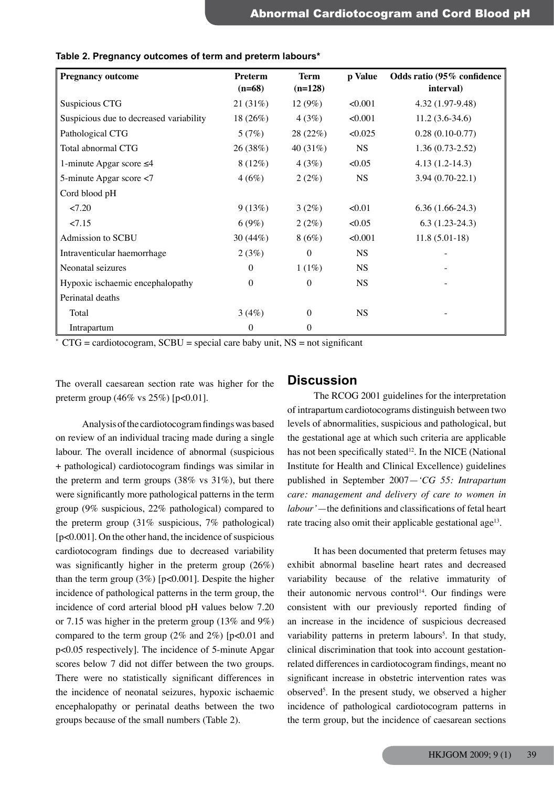| <b>Pregnancy outcome</b>                | <b>Preterm</b><br>$(n=68)$ | <b>Term</b><br>$(n=128)$ | p Value   | Odds ratio (95% confidence<br>interval) |
|-----------------------------------------|----------------------------|--------------------------|-----------|-----------------------------------------|
| Suspicious CTG                          | 21(31%)                    | $12(9\%)$                | < 0.001   | 4.32 (1.97-9.48)                        |
| Suspicious due to decreased variability | 18 $(26%)$                 | 4(3%)                    | < 0.001   | $11.2(3.6-34.6)$                        |
| Pathological CTG                        | 5(7%)                      | 28 (22%)                 | < 0.025   | $0.28(0.10-0.77)$                       |
| Total abnormal CTG                      | 26 (38%)                   | 40 $(31\%)$              | <b>NS</b> | $1.36(0.73-2.52)$                       |
| 1-minute Apgar score $\leq 4$           | $8(12\%)$                  | 4(3%)                    | <0.05     | $4.13(1.2-14.3)$                        |
| 5-minute Apgar score <7                 | 4(6%)                      | 2(2%)                    | <b>NS</b> | $3.94(0.70-22.1)$                       |
| Cord blood pH                           |                            |                          |           |                                         |
| 27.20                                   | 9(13%)                     | $3(2\%)$                 | < 0.01    | $6.36(1.66-24.3)$                       |
| 27.15                                   | 6(9%)                      | 2(2%)                    | < 0.05    | $6.3(1.23-24.3)$                        |
| Admission to SCBU                       | 30 $(44\%)$                | 8(6%)                    | < 0.001   | $11.8(5.01-18)$                         |
| Intraventicular haemorrhage             | 2(3%)                      | $\mathbf{0}$             | <b>NS</b> |                                         |
| Neonatal seizures                       | $\theta$                   | 1(1%)                    | <b>NS</b> |                                         |
| Hypoxic ischaemic encephalopathy        | $\boldsymbol{0}$           | $\theta$                 | <b>NS</b> |                                         |
| Perinatal deaths                        |                            |                          |           |                                         |
| Total                                   | 3(4%)                      | $\theta$                 | <b>NS</b> |                                         |
| Intrapartum                             | $\mathbf{0}$               | 0                        |           |                                         |

## **Table 2. Pregnancy outcomes of term and preterm labours\***

 $*$  CTG = cardiotocogram, SCBU = special care baby unit, NS = not significant

The overall caesarean section rate was higher for the preterm group  $(46\% \text{ vs } 25\%)$  [p<0.01].

## **Discussion**

Analysis of the cardiotocogram findings was based on review of an individual tracing made during a single labour. The overall incidence of abnormal (suspicious + pathological) cardiotocogram findings was similar in the preterm and term groups  $(38\% \text{ vs } 31\%)$ , but there were significantly more pathological patterns in the term group (9% suspicious, 22% pathological) compared to the preterm group (31% suspicious, 7% pathological) [p<0.001]. On the other hand, the incidence of suspicious cardiotocogram findings due to decreased variability was significantly higher in the preterm group (26%) than the term group  $(3\%)$  [p<0.001]. Despite the higher incidence of pathological patterns in the term group, the incidence of cord arterial blood pH values below 7.20 or 7.15 was higher in the preterm group (13% and 9%) compared to the term group  $(2\% \text{ and } 2\%)$  [p<0.01 and p<0.05 respectively]. The incidence of 5-minute Apgar scores below 7 did not differ between the two groups. There were no statistically significant differences in the incidence of neonatal seizures, hypoxic ischaemic encephalopathy or perinatal deaths between the two groups because of the small numbers (Table 2).

The RCOG 2001 guidelines for the interpretation of intrapartum cardiotocograms distinguish between two levels of abnormalities, suspicious and pathological, but the gestational age at which such criteria are applicable has not been specifically stated<sup>12</sup>. In the NICE (National Institute for Health and Clinical Excellence) guidelines published in September 2007—*'CG 55: Intrapartum care: management and delivery of care to women in labour'*—the definitions and classifications of fetal heart rate tracing also omit their applicable gestational age<sup>13</sup>.

It has been documented that preterm fetuses may exhibit abnormal baseline heart rates and decreased variability because of the relative immaturity of their autonomic nervous control<sup>14</sup>. Our findings were consistent with our previously reported finding of an increase in the incidence of suspicious decreased variability patterns in preterm labours<sup>5</sup>. In that study, clinical discrimination that took into account gestationrelated differences in cardiotocogram findings, meant no significant increase in obstetric intervention rates was observed5 . In the present study, we observed a higher incidence of pathological cardiotocogram patterns in the term group, but the incidence of caesarean sections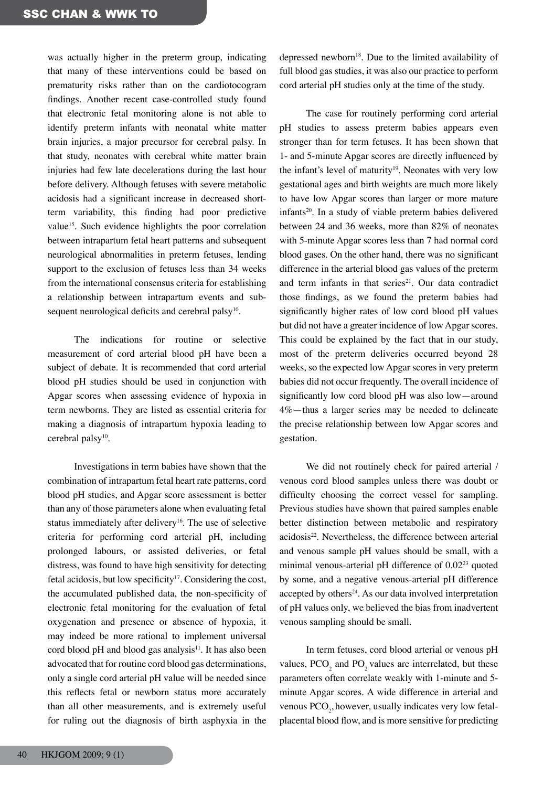was actually higher in the preterm group, indicating that many of these interventions could be based on prematurity risks rather than on the cardiotocogram findings. Another recent case-controlled study found that electronic fetal monitoring alone is not able to identify preterm infants with neonatal white matter brain injuries, a major precursor for cerebral palsy. In that study, neonates with cerebral white matter brain injuries had few late decelerations during the last hour before delivery. Although fetuses with severe metabolic acidosis had a significant increase in decreased shortterm variability, this finding had poor predictive value<sup>15</sup>. Such evidence highlights the poor correlation between intrapartum fetal heart patterns and subsequent neurological abnormalities in preterm fetuses, lending support to the exclusion of fetuses less than 34 weeks from the international consensus criteria for establishing a relationship between intrapartum events and subsequent neurological deficits and cerebral palsy<sup>10</sup>.

The indications for routine or selective measurement of cord arterial blood pH have been a subject of debate. It is recommended that cord arterial blood pH studies should be used in conjunction with Apgar scores when assessing evidence of hypoxia in term newborns. They are listed as essential criteria for making a diagnosis of intrapartum hypoxia leading to cerebral palsy<sup>10</sup>.

Investigations in term babies have shown that the combination of intrapartum fetal heart rate patterns, cord blood pH studies, and Apgar score assessment is better than any of those parameters alone when evaluating fetal status immediately after delivery<sup>16</sup>. The use of selective criteria for performing cord arterial pH, including prolonged labours, or assisted deliveries, or fetal distress, was found to have high sensitivity for detecting fetal acidosis, but low specificity<sup>17</sup>. Considering the cost, the accumulated published data, the non-specificity of electronic fetal monitoring for the evaluation of fetal oxygenation and presence or absence of hypoxia, it may indeed be more rational to implement universal cord blood  $pH$  and blood gas analysis<sup>11</sup>. It has also been advocated that for routine cord blood gas determinations, only a single cord arterial pH value will be needed since this reflects fetal or newborn status more accurately than all other measurements, and is extremely useful for ruling out the diagnosis of birth asphyxia in the

depressed newborn<sup>18</sup>. Due to the limited availability of full blood gas studies, it was also our practice to perform cord arterial pH studies only at the time of the study.

The case for routinely performing cord arterial pH studies to assess preterm babies appears even stronger than for term fetuses. It has been shown that 1- and 5-minute Apgar scores are directly influenced by the infant's level of maturity<sup>19</sup>. Neonates with very low gestational ages and birth weights are much more likely to have low Apgar scores than larger or more mature infants<sup>20</sup>. In a study of viable preterm babies delivered between 24 and 36 weeks, more than 82% of neonates with 5-minute Apgar scores less than 7 had normal cord blood gases. On the other hand, there was no significant difference in the arterial blood gas values of the preterm and term infants in that series $21$ . Our data contradict those findings, as we found the preterm babies had significantly higher rates of low cord blood pH values but did not have a greater incidence of low Apgar scores. This could be explained by the fact that in our study, most of the preterm deliveries occurred beyond 28 weeks, so the expected low Apgar scores in very preterm babies did not occur frequently. The overall incidence of significantly low cord blood pH was also low—around 4%—thus a larger series may be needed to delineate the precise relationship between low Apgar scores and gestation.

We did not routinely check for paired arterial / venous cord blood samples unless there was doubt or difficulty choosing the correct vessel for sampling. Previous studies have shown that paired samples enable better distinction between metabolic and respiratory acidosis<sup>22</sup>. Nevertheless, the difference between arterial and venous sample pH values should be small, with a minimal venous-arterial pH difference of 0.02<sup>23</sup> quoted by some, and a negative venous-arterial pH difference accepted by others<sup>24</sup>. As our data involved interpretation of pH values only, we believed the bias from inadvertent venous sampling should be small.

In term fetuses, cord blood arterial or venous pH values,  $PCO_2$  and  $PO_2$  values are interrelated, but these parameters often correlate weakly with 1-minute and 5 minute Apgar scores. A wide difference in arterial and venous  $PCO_2$ , however, usually indicates very low fetalplacental blood flow, and is more sensitive for predicting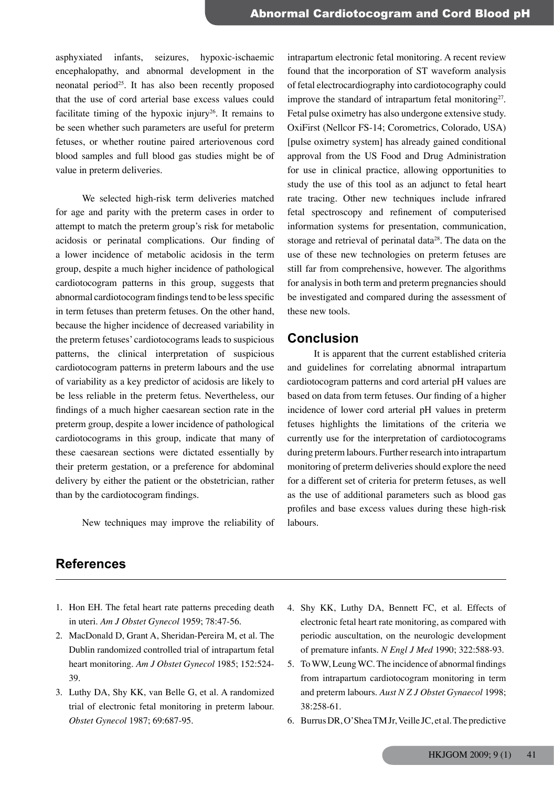asphyxiated infants, seizures, hypoxic-ischaemic encephalopathy, and abnormal development in the neonatal period<sup>25</sup>. It has also been recently proposed that the use of cord arterial base excess values could facilitate timing of the hypoxic injury<sup>26</sup>. It remains to be seen whether such parameters are useful for preterm fetuses, or whether routine paired arteriovenous cord blood samples and full blood gas studies might be of value in preterm deliveries.

We selected high-risk term deliveries matched for age and parity with the preterm cases in order to attempt to match the preterm group's risk for metabolic acidosis or perinatal complications. Our finding of a lower incidence of metabolic acidosis in the term group, despite a much higher incidence of pathological cardiotocogram patterns in this group, suggests that abnormal cardiotocogram findings tend to be less specific in term fetuses than preterm fetuses. On the other hand, because the higher incidence of decreased variability in the preterm fetuses' cardiotocograms leads to suspicious patterns, the clinical interpretation of suspicious cardiotocogram patterns in preterm labours and the use of variability as a key predictor of acidosis are likely to be less reliable in the preterm fetus. Nevertheless, our findings of a much higher caesarean section rate in the preterm group, despite a lower incidence of pathological cardiotocograms in this group, indicate that many of these caesarean sections were dictated essentially by their preterm gestation, or a preference for abdominal delivery by either the patient or the obstetrician, rather than by the cardiotocogram findings.

New techniques may improve the reliability of

intrapartum electronic fetal monitoring. A recent review found that the incorporation of ST waveform analysis of fetal electrocardiography into cardiotocography could improve the standard of intrapartum fetal monitoring<sup>27</sup>. Fetal pulse oximetry has also undergone extensive study. OxiFirst (Nellcor FS-14; Corometrics, Colorado, USA) [pulse oximetry system] has already gained conditional approval from the US Food and Drug Administration for use in clinical practice, allowing opportunities to study the use of this tool as an adjunct to fetal heart rate tracing. Other new techniques include infrared fetal spectroscopy and refinement of computerised information systems for presentation, communication, storage and retrieval of perinatal data<sup>28</sup>. The data on the use of these new technologies on preterm fetuses are still far from comprehensive, however. The algorithms for analysis in both term and preterm pregnancies should be investigated and compared during the assessment of these new tools.

## **Conclusion**

It is apparent that the current established criteria and guidelines for correlating abnormal intrapartum cardiotocogram patterns and cord arterial pH values are based on data from term fetuses. Our finding of a higher incidence of lower cord arterial pH values in preterm fetuses highlights the limitations of the criteria we currently use for the interpretation of cardiotocograms during preterm labours. Further research into intrapartum monitoring of preterm deliveries should explore the need for a different set of criteria for preterm fetuses, as well as the use of additional parameters such as blood gas profiles and base excess values during these high-risk labours.

# **References**

- 1. Hon EH. The fetal heart rate patterns preceding death in uteri. *Am J Obstet Gynecol* 1959; 78:47-56.
- 2. MacDonald D, Grant A, Sheridan-Pereira M, et al. The Dublin randomized controlled trial of intrapartum fetal heart monitoring. *Am J Obstet Gynecol* 1985; 152:524- 39.
- 3. Luthy DA, Shy KK, van Belle G, et al. A randomized trial of electronic fetal monitoring in preterm labour. *Obstet Gynecol* 1987; 69:687-95.
- 4. Shy KK, Luthy DA, Bennett FC, et al. Effects of electronic fetal heart rate monitoring, as compared with periodic auscultation, on the neurologic development of premature infants. *N Engl J Med* 1990; 322:588-93.
- 5. To WW, Leung WC. The incidence of abnormal findings from intrapartum cardiotocogram monitoring in term and preterm labours. *Aust N Z J Obstet Gynaecol* 1998; 38:258-61.
- 6. Burrus DR, O'Shea TM Jr, Veille JC, et al. The predictive